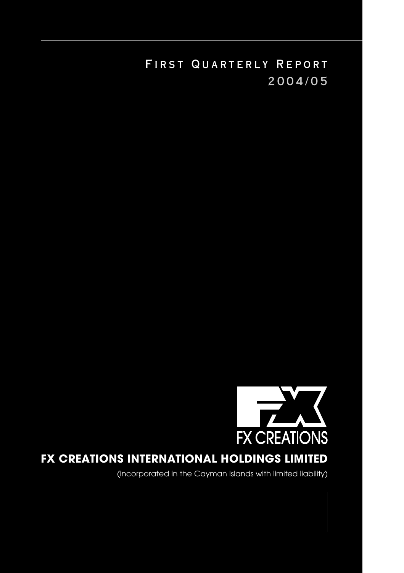

# FX CREATIONS INTERNATIONAL HOLDINGS LIMITED

(incorporated in the Cayman Islands with limited liability)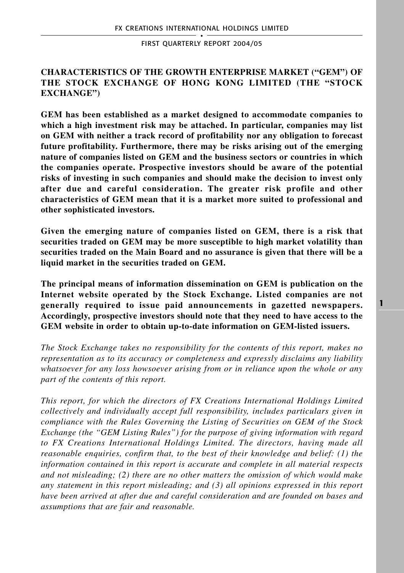## **CHARACTERISTICS OF THE GROWTH ENTERPRISE MARKET ("GEM") OF THE STOCK EXCHANGE OF HONG KONG LIMITED (THE "STOCK EXCHANGE")**

**GEM has been established as a market designed to accommodate companies to which a high investment risk may be attached. In particular, companies may list on GEM with neither a track record of profitability nor any obligation to forecast future profitability. Furthermore, there may be risks arising out of the emerging nature of companies listed on GEM and the business sectors or countries in which the companies operate. Prospective investors should be aware of the potential risks of investing in such companies and should make the decision to invest only after due and careful consideration. The greater risk profile and other characteristics of GEM mean that it is a market more suited to professional and other sophisticated investors.**

**Given the emerging nature of companies listed on GEM, there is a risk that securities traded on GEM may be more susceptible to high market volatility than securities traded on the Main Board and no assurance is given that there will be a liquid market in the securities traded on GEM.**

**The principal means of information dissemination on GEM is publication on the Internet website operated by the Stock Exchange. Listed companies are not generally required to issue paid announcements in gazetted newspapers. Accordingly, prospective investors should note that they need to have access to the GEM website in order to obtain up-to-date information on GEM-listed issuers.**

*The Stock Exchange takes no responsibility for the contents of this report, makes no representation as to its accuracy or completeness and expressly disclaims any liability whatsoever for any loss howsoever arising from or in reliance upon the whole or any part of the contents of this report.*

*This report, for which the directors of FX Creations International Holdings Limited collectively and individually accept full responsibility, includes particulars given in compliance with the Rules Governing the Listing of Securities on GEM of the Stock Exchange (the "GEM Listing Rules") for the purpose of giving information with regard to FX Creations International Holdings Limited. The directors, having made all reasonable enquiries, confirm that, to the best of their knowledge and belief: (1) the information contained in this report is accurate and complete in all material respects and not misleading; (2) there are no other matters the omission of which would make any statement in this report misleading; and (3) all opinions expressed in this report have been arrived at after due and careful consideration and are founded on bases and assumptions that are fair and reasonable.*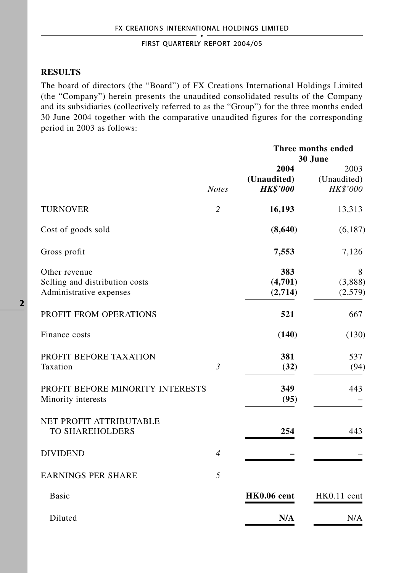## **RESULTS**

The board of directors (the "Board") of FX Creations International Holdings Limited (the "Company") herein presents the unaudited consolidated results of the Company and its subsidiaries (collectively referred to as the "Group") for the three months ended 30 June 2004 together with the comparative unaudited figures for the corresponding period in 2003 as follows:

|                                                                            |                | Three months ended<br>30 June          |                                 |
|----------------------------------------------------------------------------|----------------|----------------------------------------|---------------------------------|
|                                                                            | <b>Notes</b>   | 2004<br>(Unaudited)<br><b>HK\$'000</b> | 2003<br>(Unaudited)<br>HK\$'000 |
| <b>TURNOVER</b>                                                            | $\overline{c}$ | 16,193                                 | 13,313                          |
| Cost of goods sold                                                         |                | (8,640)                                | (6,187)                         |
| Gross profit                                                               |                | 7,553                                  | 7,126                           |
| Other revenue<br>Selling and distribution costs<br>Administrative expenses |                | 383<br>(4,701)<br>(2,714)              | 8<br>(3,888)<br>(2,579)         |
| PROFIT FROM OPERATIONS                                                     |                | 521                                    | 667                             |
| Finance costs                                                              |                | (140)                                  | (130)                           |
| PROFIT BEFORE TAXATION<br>Taxation                                         | $\mathfrak{Z}$ | 381<br>(32)                            | 537<br>(94)                     |
| PROFIT BEFORE MINORITY INTERESTS<br>Minority interests                     |                | 349<br>(95)                            | 443                             |
| NET PROFIT ATTRIBUTABLE<br><b>TO SHAREHOLDERS</b>                          |                | 254                                    | 443                             |
| <b>DIVIDEND</b>                                                            | $\overline{4}$ |                                        |                                 |
| <b>EARNINGS PER SHARE</b>                                                  | 5              |                                        |                                 |
| Basic                                                                      |                | HK0.06 cent                            | HK0.11 cent                     |
| Diluted                                                                    |                | N/A                                    | N/A                             |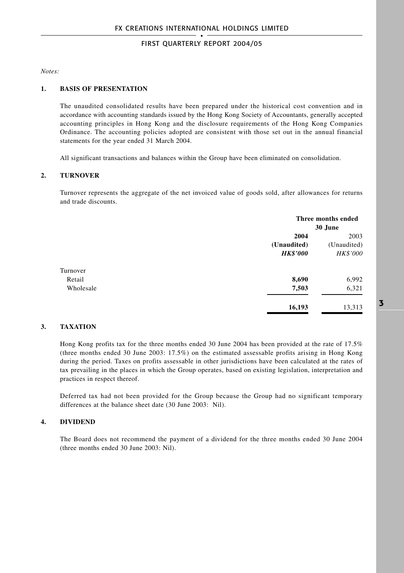*Notes:*

#### **1. BASIS OF PRESENTATION**

The unaudited consolidated results have been prepared under the historical cost convention and in accordance with accounting standards issued by the Hong Kong Society of Accountants, generally accepted accounting principles in Hong Kong and the disclosure requirements of the Hong Kong Companies Ordinance. The accounting policies adopted are consistent with those set out in the annual financial statements for the year ended 31 March 2004.

All significant transactions and balances within the Group have been eliminated on consolidation.

#### **2. TURNOVER**

Turnover represents the aggregate of the net invoiced value of goods sold, after allowances for returns and trade discounts.

|           |                 | Three months ended |  |
|-----------|-----------------|--------------------|--|
|           |                 | 30 June            |  |
|           | 2004            | 2003               |  |
|           | (Unaudited)     | (Unaudited)        |  |
|           | <b>HK\$'000</b> | <b>HK\$'000</b>    |  |
| Turnover  |                 |                    |  |
| Retail    | 8,690           | 6,992              |  |
| Wholesale | 7,503           | 6,321              |  |
|           | 16,193          | 13,313             |  |

#### **3. TAXATION**

Hong Kong profits tax for the three months ended 30 June 2004 has been provided at the rate of 17.5% (three months ended 30 June 2003: 17.5%) on the estimated assessable profits arising in Hong Kong during the period. Taxes on profits assessable in other jurisdictions have been calculated at the rates of tax prevailing in the places in which the Group operates, based on existing legislation, interpretation and practices in respect thereof.

Deferred tax had not been provided for the Group because the Group had no significant temporary differences at the balance sheet date (30 June 2003: Nil).

#### **4. DIVIDEND**

The Board does not recommend the payment of a dividend for the three months ended 30 June 2004 (three months ended 30 June 2003: Nil).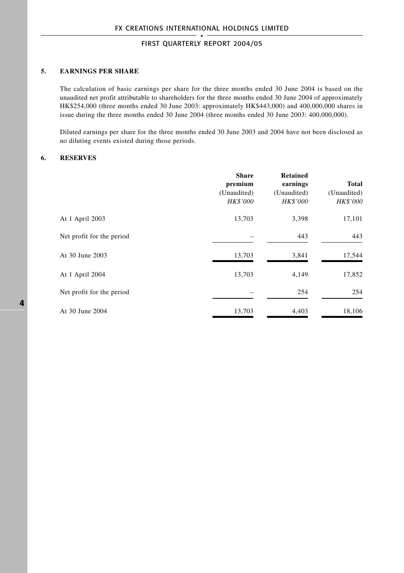#### **5. EARNINGS PER SHARE**

The calculation of basic earnings per share for the three months ended 30 June 2004 is based on the unaudited net profit attributable to shareholders for the three months ended 30 June 2004 of approximately HK\$254,000 (three months ended 30 June 2003: approximately HK\$443,000) and 400,000,000 shares in issue during the three months ended 30 June 2004 (three months ended 30 June 2003: 400,000,000).

Diluted earnings per share for the three months ended 30 June 2003 and 2004 have not been disclosed as no diluting events existed during those periods.

#### **6. RESERVES**

|                           | <b>Share</b><br>premium<br>(Unaudited)<br>HK\$'000 | <b>Retained</b><br>earnings<br>(Unaudited)<br>HK\$'000 | <b>Total</b><br>(Unaudited)<br>HK\$'000 |
|---------------------------|----------------------------------------------------|--------------------------------------------------------|-----------------------------------------|
| At 1 April 2003           | 13,703                                             | 3,398                                                  | 17,101                                  |
| Net profit for the period |                                                    | 443                                                    | 443                                     |
| At 30 June 2003           | 13,703                                             | 3,841                                                  | 17,544                                  |
| At 1 April 2004           | 13,703                                             | 4,149                                                  | 17,852                                  |
| Net profit for the period |                                                    | 254                                                    | 254                                     |
| At 30 June 2004           | 13,703                                             | 4,403                                                  | 18,106                                  |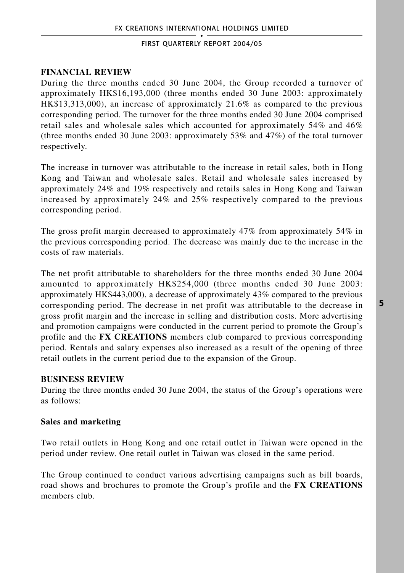## **FINANCIAL REVIEW**

During the three months ended 30 June 2004, the Group recorded a turnover of approximately HK\$16,193,000 (three months ended 30 June 2003: approximately HK\$13,313,000), an increase of approximately 21.6% as compared to the previous corresponding period. The turnover for the three months ended 30 June 2004 comprised retail sales and wholesale sales which accounted for approximately 54% and 46% (three months ended 30 June 2003: approximately 53% and 47%) of the total turnover respectively.

The increase in turnover was attributable to the increase in retail sales, both in Hong Kong and Taiwan and wholesale sales. Retail and wholesale sales increased by approximately 24% and 19% respectively and retails sales in Hong Kong and Taiwan increased by approximately 24% and 25% respectively compared to the previous corresponding period.

The gross profit margin decreased to approximately 47% from approximately 54% in the previous corresponding period. The decrease was mainly due to the increase in the costs of raw materials.

The net profit attributable to shareholders for the three months ended 30 June 2004 amounted to approximately HK\$254,000 (three months ended 30 June 2003: approximately HK\$443,000), a decrease of approximately 43% compared to the previous corresponding period. The decrease in net profit was attributable to the decrease in gross profit margin and the increase in selling and distribution costs. More advertising and promotion campaigns were conducted in the current period to promote the Group's profile and the **FX CREATIONS** members club compared to previous corresponding period. Rentals and salary expenses also increased as a result of the opening of three retail outlets in the current period due to the expansion of the Group.

## **BUSINESS REVIEW**

During the three months ended 30 June 2004, the status of the Group's operations were as follows:

## **Sales and marketing**

Two retail outlets in Hong Kong and one retail outlet in Taiwan were opened in the period under review. One retail outlet in Taiwan was closed in the same period.

The Group continued to conduct various advertising campaigns such as bill boards, road shows and brochures to promote the Group's profile and the **FX CREATIONS** members club.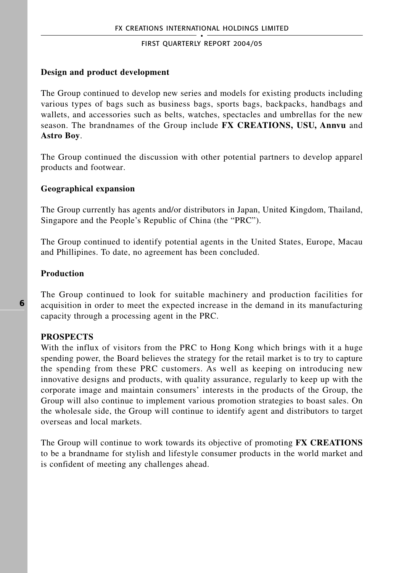### **Design and product development**

The Group continued to develop new series and models for existing products including various types of bags such as business bags, sports bags, backpacks, handbags and wallets, and accessories such as belts, watches, spectacles and umbrellas for the new season. The brandnames of the Group include **FX CREATIONS, USU, Annvu** and **Astro Boy**.

The Group continued the discussion with other potential partners to develop apparel products and footwear.

### **Geographical expansion**

The Group currently has agents and/or distributors in Japan, United Kingdom, Thailand, Singapore and the People's Republic of China (the "PRC").

The Group continued to identify potential agents in the United States, Europe, Macau and Phillipines. To date, no agreement has been concluded.

### **Production**

The Group continued to look for suitable machinery and production facilities for acquisition in order to meet the expected increase in the demand in its manufacturing capacity through a processing agent in the PRC.

## **PROSPECTS**

With the influx of visitors from the PRC to Hong Kong which brings with it a huge spending power, the Board believes the strategy for the retail market is to try to capture the spending from these PRC customers. As well as keeping on introducing new innovative designs and products, with quality assurance, regularly to keep up with the corporate image and maintain consumers' interests in the products of the Group, the Group will also continue to implement various promotion strategies to boast sales. On the wholesale side, the Group will continue to identify agent and distributors to target overseas and local markets.

The Group will continue to work towards its objective of promoting **FX CREATIONS** to be a brandname for stylish and lifestyle consumer products in the world market and is confident of meeting any challenges ahead.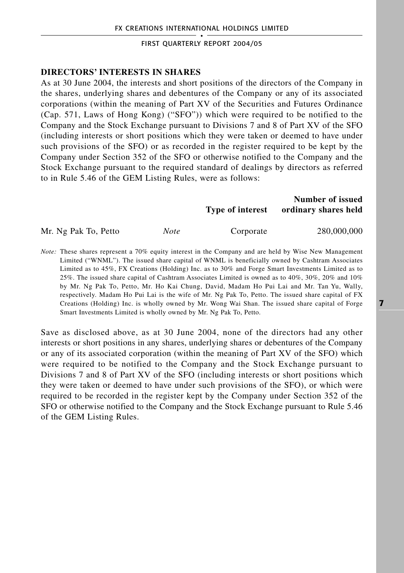#### **DIRECTORS' INTERESTS IN SHARES**

As at 30 June 2004, the interests and short positions of the directors of the Company in the shares, underlying shares and debentures of the Company or any of its associated corporations (within the meaning of Part XV of the Securities and Futures Ordinance (Cap. 571, Laws of Hong Kong) ("SFO")) which were required to be notified to the Company and the Stock Exchange pursuant to Divisions 7 and 8 of Part XV of the SFO (including interests or short positions which they were taken or deemed to have under such provisions of the SFO) or as recorded in the register required to be kept by the Company under Section 352 of the SFO or otherwise notified to the Company and the Stock Exchange pursuant to the required standard of dealings by directors as referred to in Rule 5.46 of the GEM Listing Rules, were as follows:

|                      |             | Type of interest | Number of issued<br>ordinary shares held |
|----------------------|-------------|------------------|------------------------------------------|
| Mr. Ng Pak To, Petto | <b>Note</b> | Corporate        | 280,000,000                              |

*Note:* These shares represent a 70% equity interest in the Company and are held by Wise New Management Limited ("WNML"). The issued share capital of WNML is beneficially owned by Cashtram Associates Limited as to 45%, FX Creations (Holding) Inc. as to 30% and Forge Smart Investments Limited as to 25%. The issued share capital of Cashtram Associates Limited is owned as to 40%, 30%, 20% and 10% by Mr. Ng Pak To, Petto, Mr. Ho Kai Chung, David, Madam Ho Pui Lai and Mr. Tan Yu, Wally, respectively. Madam Ho Pui Lai is the wife of Mr. Ng Pak To, Petto. The issued share capital of FX Creations (Holding) Inc. is wholly owned by Mr. Wong Wai Shan. The issued share capital of Forge Smart Investments Limited is wholly owned by Mr. Ng Pak To, Petto.

Save as disclosed above, as at 30 June 2004, none of the directors had any other interests or short positions in any shares, underlying shares or debentures of the Company or any of its associated corporation (within the meaning of Part XV of the SFO) which were required to be notified to the Company and the Stock Exchange pursuant to Divisions 7 and 8 of Part XV of the SFO (including interests or short positions which they were taken or deemed to have under such provisions of the SFO), or which were required to be recorded in the register kept by the Company under Section 352 of the SFO or otherwise notified to the Company and the Stock Exchange pursuant to Rule 5.46 of the GEM Listing Rules.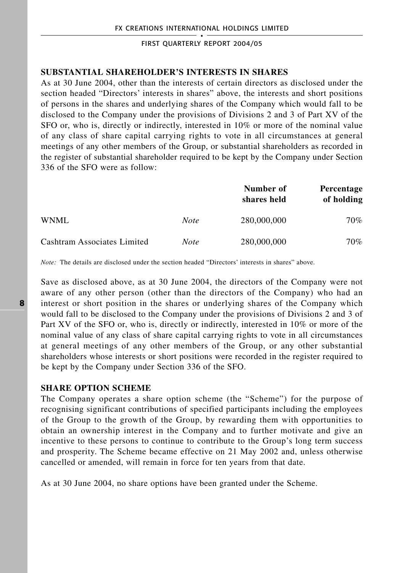#### **SUBSTANTIAL SHAREHOLDER'S INTERESTS IN SHARES**

As at 30 June 2004, other than the interests of certain directors as disclosed under the section headed "Directors' interests in shares" above, the interests and short positions of persons in the shares and underlying shares of the Company which would fall to be disclosed to the Company under the provisions of Divisions 2 and 3 of Part XV of the SFO or, who is, directly or indirectly, interested in 10% or more of the nominal value of any class of share capital carrying rights to vote in all circumstances at general meetings of any other members of the Group, or substantial shareholders as recorded in the register of substantial shareholder required to be kept by the Company under Section 336 of the SFO were as follow:

|                             |             | Number of<br>shares held | <b>Percentage</b><br>of holding |
|-----------------------------|-------------|--------------------------|---------------------------------|
| WNML                        | <b>Note</b> | 280,000,000              | 70%                             |
| Cashtram Associates Limited | <b>Note</b> | 280,000,000              | 70%                             |

*Note:* The details are disclosed under the section headed "Directors' interests in shares" above.

Save as disclosed above, as at 30 June 2004, the directors of the Company were not aware of any other person (other than the directors of the Company) who had an interest or short position in the shares or underlying shares of the Company which would fall to be disclosed to the Company under the provisions of Divisions 2 and 3 of Part XV of the SFO or, who is, directly or indirectly, interested in 10% or more of the nominal value of any class of share capital carrying rights to vote in all circumstances at general meetings of any other members of the Group, or any other substantial shareholders whose interests or short positions were recorded in the register required to be kept by the Company under Section 336 of the SFO.

#### **SHARE OPTION SCHEME**

The Company operates a share option scheme (the "Scheme") for the purpose of recognising significant contributions of specified participants including the employees of the Group to the growth of the Group, by rewarding them with opportunities to obtain an ownership interest in the Company and to further motivate and give an incentive to these persons to continue to contribute to the Group's long term success and prosperity. The Scheme became effective on 21 May 2002 and, unless otherwise cancelled or amended, will remain in force for ten years from that date.

As at 30 June 2004, no share options have been granted under the Scheme.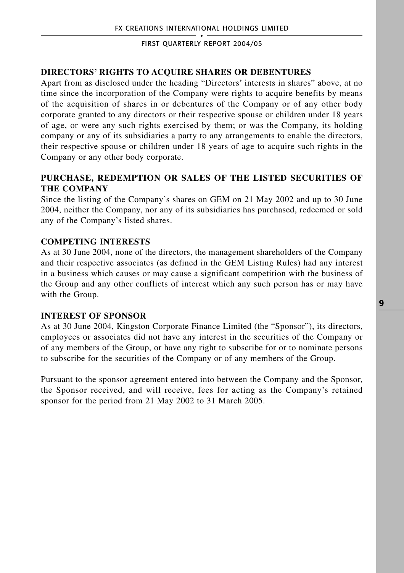### **DIRECTORS' RIGHTS TO ACQUIRE SHARES OR DEBENTURES**

Apart from as disclosed under the heading "Directors' interests in shares" above, at no time since the incorporation of the Company were rights to acquire benefits by means of the acquisition of shares in or debentures of the Company or of any other body corporate granted to any directors or their respective spouse or children under 18 years of age, or were any such rights exercised by them; or was the Company, its holding company or any of its subsidiaries a party to any arrangements to enable the directors, their respective spouse or children under 18 years of age to acquire such rights in the Company or any other body corporate.

## **PURCHASE, REDEMPTION OR SALES OF THE LISTED SECURITIES OF THE COMPANY**

Since the listing of the Company's shares on GEM on 21 May 2002 and up to 30 June 2004, neither the Company, nor any of its subsidiaries has purchased, redeemed or sold any of the Company's listed shares.

### **COMPETING INTERESTS**

As at 30 June 2004, none of the directors, the management shareholders of the Company and their respective associates (as defined in the GEM Listing Rules) had any interest in a business which causes or may cause a significant competition with the business of the Group and any other conflicts of interest which any such person has or may have with the Group.

#### **INTEREST OF SPONSOR**

As at 30 June 2004, Kingston Corporate Finance Limited (the "Sponsor"), its directors, employees or associates did not have any interest in the securities of the Company or of any members of the Group, or have any right to subscribe for or to nominate persons to subscribe for the securities of the Company or of any members of the Group.

Pursuant to the sponsor agreement entered into between the Company and the Sponsor, the Sponsor received, and will receive, fees for acting as the Company's retained sponsor for the period from 21 May 2002 to 31 March 2005.